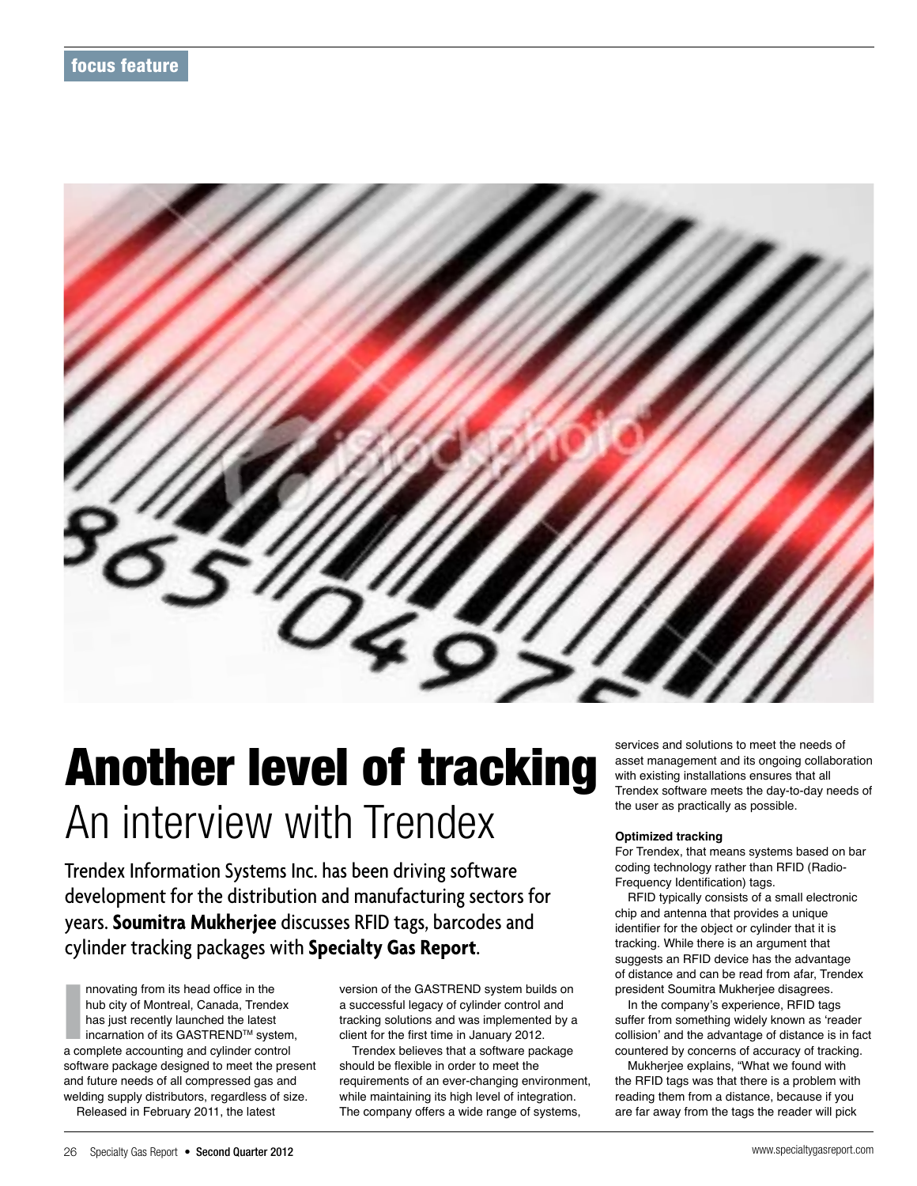

# Another level of tracking An interview with Trendex

Trendex Information Systems Inc. has been driving software development for the distribution and manufacturing sectors for years. **Soumitra Mukherjee** discusses RFID tags, barcodes and cylinder tracking packages with **Specialty Gas Report**.

nnovating from its head office in the<br>hub city of Montreal, Canada, Trendex<br>has just recently launched the latest<br>incarnation of its GASTREND™ system<br>a complete accounting and cylinder control nnovating from its head office in the hub city of Montreal, Canada, Trendex has just recently launched the latest incarnation of its GASTREND™ system, software 
package designed to meet the present and future needs of all compressed gas and welding 
supply distributors, regardless of size. Released in February 2011, the latest

version of the GASTREND system builds on a successful legacy of cylinder control and tracking solutions and was implemented by a client for the first time in January 2012.

Trendex believes that a software package should be flexible in order to meet the requirements of an ever-changing environment, while maintaining its high level of integration. The company offers a wide range of systems,

services and solutions to meet the needs of asset management and its ongoing collaboration with existing installations ensures that all Trendex software meets the day-to-day needs of the user as practically as possible.

# **Optimized tracking**

For Trendex, that means systems based on bar coding technology rather than RFID (Radio-Frequency Identification) tags.

RFID typically consists of a small electronic chip and antenna that provides a unique identifier for the object or cylinder that it is tracking. While there is an argument that suggests an RFID device has the advantage of distance and can be read from afar, Trendex president Soumitra Mukherjee disagrees.

In the company's experience, RFID tags suffer from something widely known as 'reader collision' and the advantage of distance is in fact countered by concerns of accuracy of tracking.

Mukherjee explains, "What we found with the RFID tags was that there is a problem with reading them from a distance, because if you are far away from the tags the reader will pick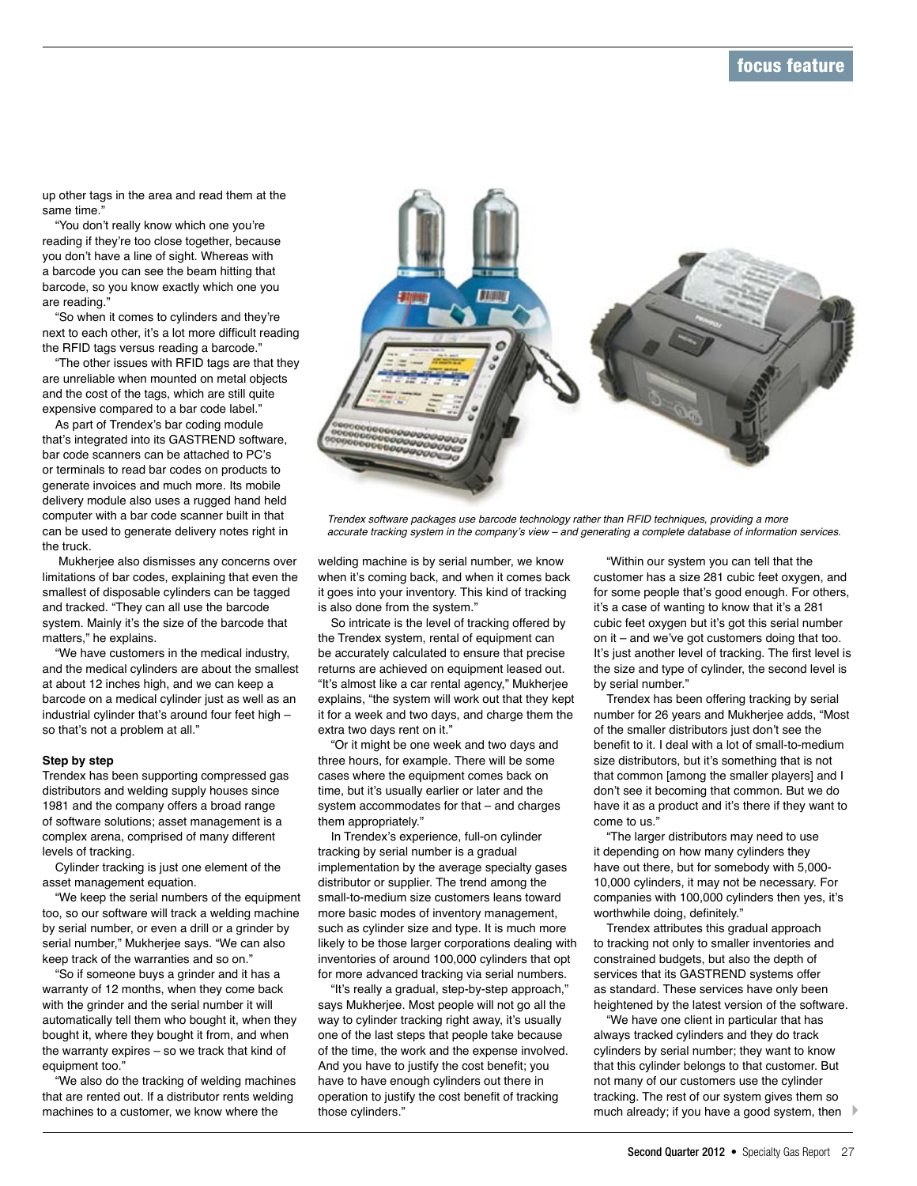up other tags in the area and read them at the same time."

"You don't really know which one you're reading if they're too close together, because you don't have a line of sight. Whereas with a barcode you can see the beam hitting that barcode, so you know exactly which one you are reading."

"So when it comes to cylinders and they're next to each other, it's a lot more difficult reading the RFID tags versus reading a barcode."

"The other issues with RFID tags are that they are unreliable when mounted on metal objects and the cost of the tags, which are still quite expensive compared to a bar code label."

As part of Trendex's bar coding module that's integrated into its GASTREND software, bar code scanners can be attached to PC's or terminals to read bar codes on products to generate invoices and much more. Its mobile delivery module also uses a rugged hand held computer with a bar code scanner built in that can be used to generate delivery notes right in the truck.

 Mukherjee also dismisses any concerns over limitations of bar codes, explaining that even the smallest of disposable cylinders can be tagged and tracked. "They can all use the barcode system. Mainly it's the size of the barcode that matters," he explains.

"We have customers in the medical industry, and the medical cylinders are about the smallest at about 12 inches high, and we can keep a barcode on a medical cylinder just as well as an industrial cylinder that's around four feet high – so that's not a problem at all."

## **Step by step**

Trendex has been supporting compressed gas distributors and welding supply houses since 1981 and the company offers a broad range of software solutions; asset management is a complex arena, comprised of many different levels of tracking.

Cylinder tracking is just one element of the asset management equation.

"We keep the serial numbers of the equipment too, so our software will track a welding machine by serial number, or even a drill or a grinder by serial number," Mukherjee says. "We can also keep track of the warranties and so on."

"So if someone buys a grinder and it has a warranty of 12 months, when they come back with the grinder and the serial number it will automatically tell them who bought it, when they bought it, where they bought it from, and when the warranty expires – so we track that kind of equipment too."

"We also do the tracking of welding machines that are rented out. If a distributor rents welding machines to a customer, we know where the



*Trendex software packages use barcode technology rather than RFID techniques, providing a more accurate tracking system in the company's view – and generating a complete database of information services.*

welding machine is by serial number, we know when it's coming back, and when it comes back it goes into your inventory. This kind of tracking is also done from the system."

So intricate is the level of tracking offered by the Trendex system, rental of equipment can be accurately calculated to ensure that precise returns are achieved on equipment leased out. "It's almost like a car rental agency," Mukherjee explains, "the system will work out that they kept it for a week and two days, and charge them the extra two days rent on it."

"Or it might be one week and two days and three hours, for example. There will be some cases where the equipment comes back on time, but it's usually earlier or later and the system accommodates for that – and charges them appropriately."

In Trendex's experience, full-on cylinder tracking by serial number is a gradual implementation by the average specialty gases distributor or supplier. The trend among the small-to-medium size customers leans toward more basic modes of inventory management, such as cylinder size and type. It is much more likely to be those larger corporations dealing with inventories of around 100,000 cylinders that opt for more advanced tracking via serial numbers.

"It's really a gradual, step-by-step approach," says Mukherjee. Most people will not go all the way to cylinder tracking right away, it's usually one of the last steps that people take because of the time, the work and the expense involved. And you have to justify the cost benefit; you have to have enough cylinders out there in operation to justify the cost benefit of tracking those cylinders."

"Within our system you can tell that the customer has a size 281 cubic feet oxygen, and for some people that's good enough. For others, it's a case of wanting to know that it's a 281 cubic feet oxygen but it's got this serial number on it – and we've got customers doing that too. It's just another level of tracking. The first level is the size and type of cylinder, the second level is by serial number."

Trendex has been offering tracking by serial number for 26 years and Mukherjee adds, "Most of the smaller distributors just don't see the benefit to it. I deal with a lot of small-to-medium size distributors, but it's something that is not that common [among the smaller players] and I don't see it becoming that common. But we do have it as a product and it's there if they want to come to us."

"The larger distributors may need to use it depending on how many cylinders they have out there, but for somebody with 5,000- 10,000 cylinders, it may not be necessary. For companies with 100,000 cylinders then yes, it's worthwhile doing, definitely."

Trendex attributes this gradual approach to tracking not only to smaller inventories and constrained budgets, but also the depth of services that its GASTREND systems offer as standard. These services have only been heightened by the latest version of the software.

"We have one client in particular that has always tracked cylinders and they do track cylinders by serial number; they want to know that this cylinder belongs to that customer. But not many of our customers use the cylinder tracking. The rest of our system gives them so much already; if you have a good system, then